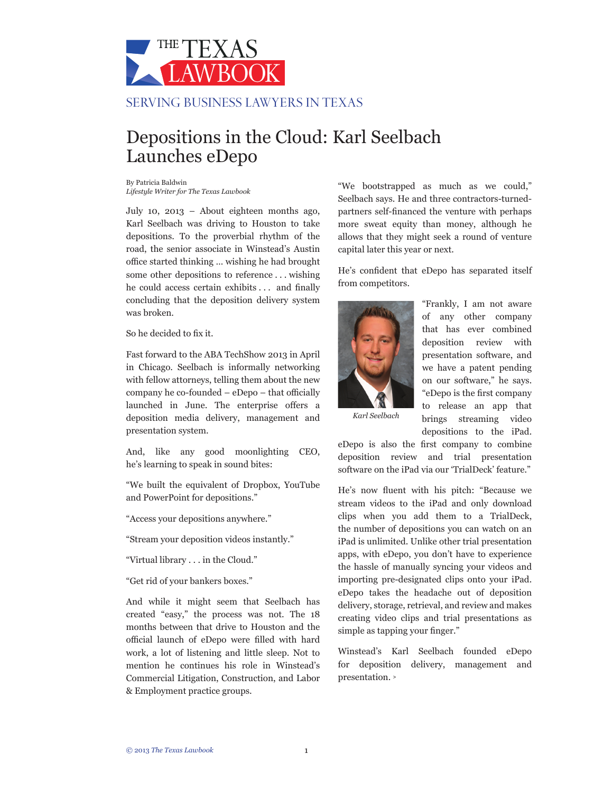

## Depositions in the Cloud: Karl Seelbach Launches eDepo

By Patricia Baldwin *Lifestyle Writer for The Texas Lawbook*

July 10, 2013 – About eighteen months ago, Karl Seelbach was driving to Houston to take depositions. To the proverbial rhythm of the road, the senior associate in Winstead's Austin office started thinking … wishing he had brought some other depositions to reference . . . wishing he could access certain exhibits . . . and finally concluding that the deposition delivery system was broken.

So he decided to fix it.

Fast forward to the ABA TechShow 2013 in April in Chicago. Seelbach is informally networking with fellow attorneys, telling them about the new company he co-founded – eDepo – that officially launched in June. The enterprise offers a deposition media delivery, management and presentation system.

And, like any good moonlighting CEO, he's learning to speak in sound bites:

"We built the equivalent of Dropbox, YouTube and PowerPoint for depositions."

"Access your depositions anywhere."

"Stream your deposition videos instantly."

"Virtual library . . . in the Cloud."

"Get rid of your bankers boxes."

And while it might seem that Seelbach has created "easy," the process was not. The 18 months between that drive to Houston and the official launch of eDepo were filled with hard work, a lot of listening and little sleep. Not to mention he continues his role in Winstead's Commercial Litigation, Construction, and Labor & Employment practice groups.

"We bootstrapped as much as we could," Seelbach says. He and three contractors-turnedpartners self-financed the venture with perhaps more sweat equity than money, although he allows that they might seek a round of venture capital later this year or next.

He's confident that eDepo has separated itself from competitors.



"Frankly, I am not aware of any other company that has ever combined deposition review with presentation software, and we have a patent pending on our software," he says. "eDepo is the first company to release an app that brings streaming video depositions to the iPad.

*Karl Seelbach*

eDepo is also the first company to combine deposition review and trial presentation software on the iPad via our 'TrialDeck' feature."

He's now fluent with his pitch: "Because we stream videos to the iPad and only download clips when you add them to a TrialDeck, the number of depositions you can watch on an iPad is unlimited. Unlike other trial presentation apps, with eDepo, you don't have to experience the hassle of manually syncing your videos and importing pre-designated clips onto your iPad. eDepo takes the headache out of deposition delivery, storage, retrieval, and review and makes creating video clips and trial presentations as simple as tapping your finger."

Winstead's Karl Seelbach founded eDepo for deposition delivery, management and presentation. **<sup>&</sup>gt;**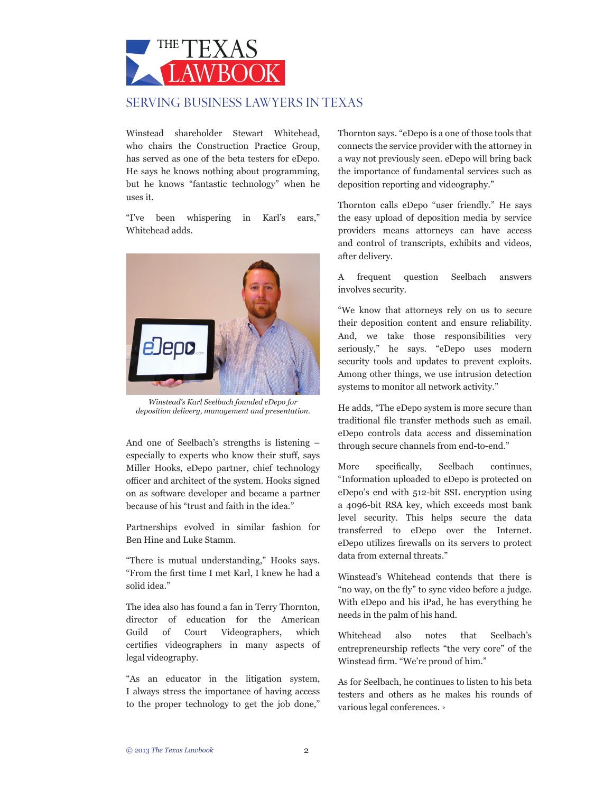

Winstead shareholder Stewart Whitehead, who chairs the Construction Practice Group, has served as one of the beta testers for eDepo. He says he knows nothing about programming, but he knows "fantastic technology" when he uses it.

"I've been whispering in Karl's ears," Whitehead adds.



*Winstead's Karl Seelbach founded eDepo for deposition delivery, management and presentation.*

And one of Seelbach's strengths is listening – especially to experts who know their stuff, says Miller Hooks, eDepo partner, chief technology officer and architect of the system. Hooks signed on as software developer and became a partner because of his "trust and faith in the idea."

Partnerships evolved in similar fashion for Ben Hine and Luke Stamm.

"There is mutual understanding," Hooks says. "From the first time I met Karl, I knew he had a solid idea."

The idea also has found a fan in Terry Thornton, director of education for the American Guild of Court Videographers, which certifies videographers in many aspects of legal videography.

"As an educator in the litigation system, I always stress the importance of having access to the proper technology to get the job done," Thornton says. "eDepo is a one of those tools that connects the service provider with the attorney in a way not previously seen. eDepo will bring back the importance of fundamental services such as deposition reporting and videography."

Thornton calls eDepo "user friendly." He says the easy upload of deposition media by service providers means attorneys can have access and control of transcripts, exhibits and videos, after delivery.

A frequent question Seelbach answers involves security.

"We know that attorneys rely on us to secure their deposition content and ensure reliability. And, we take those responsibilities very seriously," he says. "eDepo uses modern security tools and updates to prevent exploits. Among other things, we use intrusion detection systems to monitor all network activity."

He adds, "The eDepo system is more secure than traditional file transfer methods such as email. eDepo controls data access and dissemination through secure channels from end-to-end."

More specifically, Seelbach continues, "Information uploaded to eDepo is protected on eDepo's end with 512-bit SSL encryption using a 4096-bit RSA key, which exceeds most bank level security. This helps secure the data transferred to eDepo over the Internet. eDepo utilizes firewalls on its servers to protect data from external threats."

Winstead's Whitehead contends that there is "no way, on the fly" to sync video before a judge. With eDepo and his iPad, he has everything he needs in the palm of his hand.

Whitehead also notes that Seelbach's entrepreneurship reflects "the very core" of the Winstead firm. "We're proud of him."

As for Seelbach, he continues to listen to his beta testers and others as he makes his rounds of various legal conferences. **<sup>&</sup>gt;**